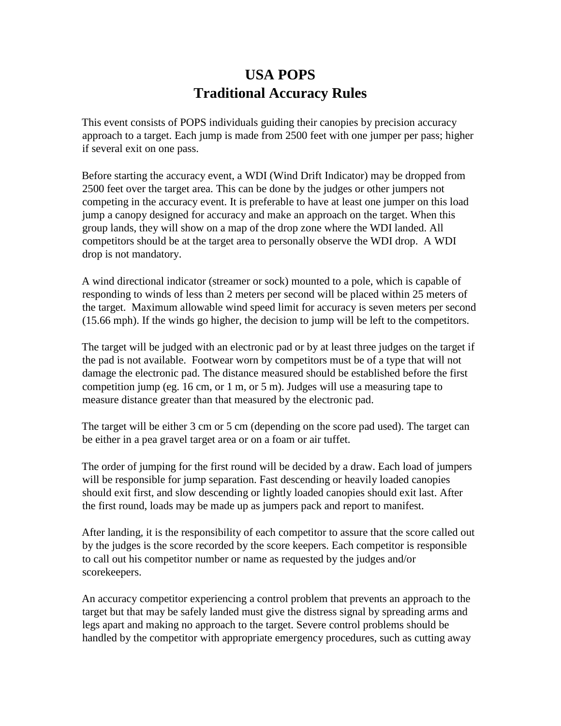## **USA POPS Traditional Accuracy Rules**

This event consists of POPS individuals guiding their canopies by precision accuracy approach to a target. Each jump is made from 2500 feet with one jumper per pass; higher if several exit on one pass.

Before starting the accuracy event, a WDI (Wind Drift Indicator) may be dropped from 2500 feet over the target area. This can be done by the judges or other jumpers not competing in the accuracy event. It is preferable to have at least one jumper on this load jump a canopy designed for accuracy and make an approach on the target. When this group lands, they will show on a map of the drop zone where the WDI landed. All competitors should be at the target area to personally observe the WDI drop. A WDI drop is not mandatory.

A wind directional indicator (streamer or sock) mounted to a pole, which is capable of responding to winds of less than 2 meters per second will be placed within 25 meters of the target. Maximum allowable wind speed limit for accuracy is seven meters per second (15.66 mph). If the winds go higher, the decision to jump will be left to the competitors.

The target will be judged with an electronic pad or by at least three judges on the target if the pad is not available. Footwear worn by competitors must be of a type that will not damage the electronic pad. The distance measured should be established before the first competition jump (eg. 16 cm, or 1 m, or 5 m). Judges will use a measuring tape to measure distance greater than that measured by the electronic pad.

The target will be either 3 cm or 5 cm (depending on the score pad used). The target can be either in a pea gravel target area or on a foam or air tuffet.

The order of jumping for the first round will be decided by a draw. Each load of jumpers will be responsible for jump separation. Fast descending or heavily loaded canopies should exit first, and slow descending or lightly loaded canopies should exit last. After the first round, loads may be made up as jumpers pack and report to manifest.

After landing, it is the responsibility of each competitor to assure that the score called out by the judges is the score recorded by the score keepers. Each competitor is responsible to call out his competitor number or name as requested by the judges and/or scorekeepers.

An accuracy competitor experiencing a control problem that prevents an approach to the target but that may be safely landed must give the distress signal by spreading arms and legs apart and making no approach to the target. Severe control problems should be handled by the competitor with appropriate emergency procedures, such as cutting away